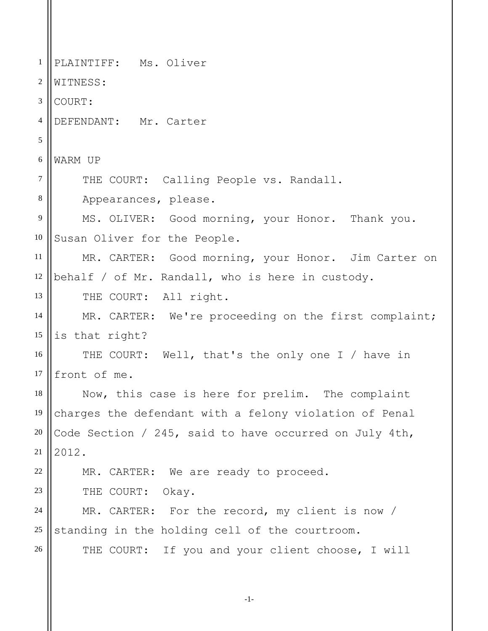1 2 3 4 5 6 7 8 9 10 11 12 13 14 15 16 17 18 19 20 21 22 23 24 25 26 PLAINTIFF: Ms. Oliver WITNESS: COURT: DEFENDANT: Mr. Carter WARM UP THE COURT: Calling People vs. Randall. Appearances, please. MS. OLIVER: Good morning, your Honor. Thank you. Susan Oliver for the People. MR. CARTER: Good morning, your Honor. Jim Carter on behalf / of Mr. Randall, who is here in custody. THE COURT: All right. MR. CARTER: We're proceeding on the first complaint; is that right? THE COURT: Well, that's the only one I / have in front of me. Now, this case is here for prelim. The complaint charges the defendant with a felony violation of Penal Code Section / 245, said to have occurred on July 4th, 2012. MR. CARTER: We are ready to proceed. THE COURT: Okay. MR. CARTER: For the record, my client is now / standing in the holding cell of the courtroom. THE COURT: If you and your client choose, I will

```
-1-
```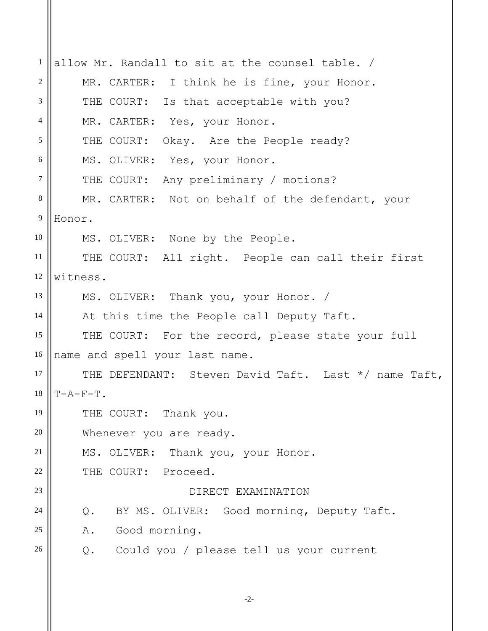1 2 3 4 5 6 7 8 9 10 11 12 13 14 15 16 17 18 19 20 21 22 23 24 25 26 allow Mr. Randall to sit at the counsel table. / MR. CARTER: I think he is fine, your Honor. THE COURT: Is that acceptable with you? MR. CARTER: Yes, your Honor. THE COURT: Okay. Are the People ready? MS. OLIVER: Yes, your Honor. THE COURT: Any preliminary / motions? MR. CARTER: Not on behalf of the defendant, your Honor. MS. OLIVER: None by the People. THE COURT: All right. People can call their first witness. MS. OLIVER: Thank you, your Honor. / At this time the People call Deputy Taft. THE COURT: For the record, please state your full name and spell your last name. THE DEFENDANT: Steven David Taft. Last \*/ name Taft,  $T-A-F-T$ . THE COURT: Thank you. Whenever you are ready. MS. OLIVER: Thank you, your Honor. THE COURT: Proceed. DIRECT EXAMINATION Q. BY MS. OLIVER: Good morning, Deputy Taft. A. Good morning. Q. Could you / please tell us your current

-2-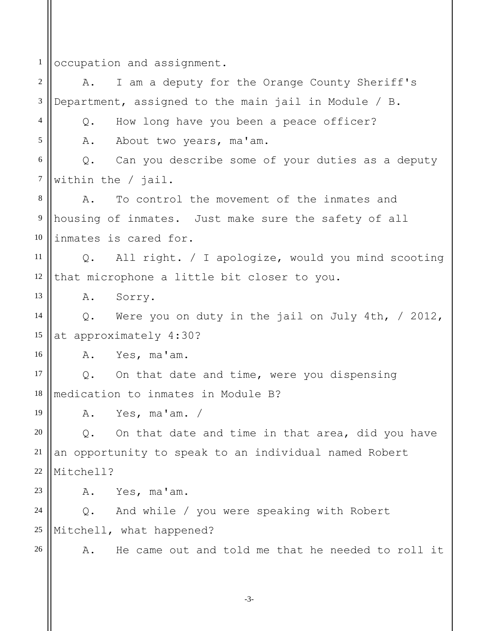1 occupation and assignment.

2 3 4 5 6 7 8 9 10 11 12 13 14 15 16 17 18 19 20 21 22 23 24 25 26 A. I am a deputy for the Orange County Sheriff's Department, assigned to the main jail in Module / B. Q. How long have you been a peace officer? A. About two years, ma'am. Q. Can you describe some of your duties as a deputy within the / jail. A. To control the movement of the inmates and housing of inmates. Just make sure the safety of all inmates is cared for. Q. All right. / I apologize, would you mind scooting that microphone a little bit closer to you. A. Sorry. Q. Were you on duty in the jail on July 4th, / 2012, at approximately 4:30? A. Yes, ma'am. Q. On that date and time, were you dispensing medication to inmates in Module B? A. Yes, ma'am. / Q. On that date and time in that area, did you have an opportunity to speak to an individual named Robert Mitchell? A. Yes, ma'am. Q. And while / you were speaking with Robert Mitchell, what happened? A. He came out and told me that he needed to roll it

-3-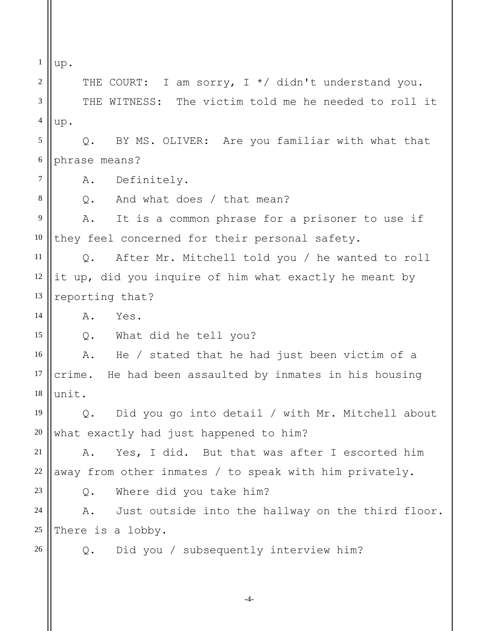1 2 3 4 5 6 7 8 9 10 11 12 13 14 15 16 17 18 19 20 21 22 23 24 25 26 up. THE COURT: I am sorry, I \*/ didn't understand you. THE WITNESS: The victim told me he needed to roll it up. Q. BY MS. OLIVER: Are you familiar with what that phrase means? A. Definitely. Q. And what does / that mean? A. It is a common phrase for a prisoner to use if they feel concerned for their personal safety. Q. After Mr. Mitchell told you / he wanted to roll it up, did you inquire of him what exactly he meant by reporting that? A. Yes. Q. What did he tell you? A. He / stated that he had just been victim of a crime. He had been assaulted by inmates in his housing unit. Q. Did you go into detail / with Mr. Mitchell about what exactly had just happened to him? A. Yes, I did. But that was after I escorted him away from other inmates / to speak with him privately. Q. Where did you take him? A. Just outside into the hallway on the third floor. There is a lobby. Q. Did you / subsequently interview him?

-4-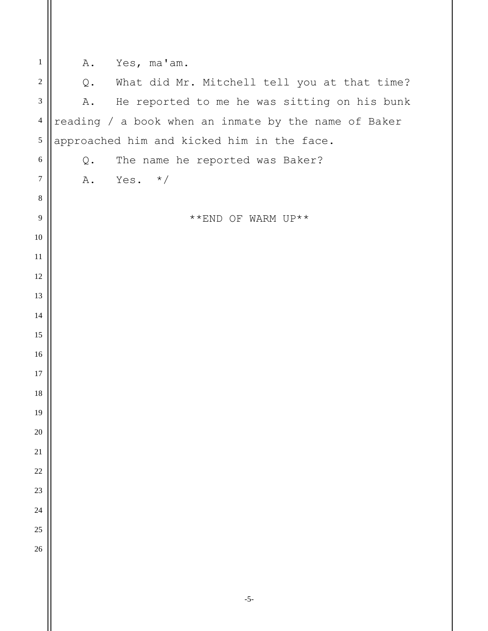| $\mathbf{1}$                | Yes, ma'am.<br>Α.                                    |
|-----------------------------|------------------------------------------------------|
| $\sqrt{2}$                  | What did Mr. Mitchell tell you at that time?<br>Q.   |
| $\ensuremath{\mathfrak{Z}}$ | He reported to me he was sitting on his bunk<br>Α.   |
| $\overline{4}$              | reading / a book when an inmate by the name of Baker |
| $\sqrt{5}$                  | approached him and kicked him in the face.           |
| $\sqrt{6}$                  | The name he reported was Baker?<br>Q.                |
| $\boldsymbol{7}$            | Yes.<br>$\star/$<br>Α.                               |
| $\,8\,$                     |                                                      |
| $\overline{9}$              | **END OF WARM UP**                                   |
| 10                          |                                                      |
| 11                          |                                                      |
| 12                          |                                                      |
| 13                          |                                                      |
| 14                          |                                                      |
| 15                          |                                                      |
| 16                          |                                                      |
| 17                          |                                                      |
| 18                          |                                                      |
| 19                          |                                                      |
| $20\,$                      |                                                      |
| $21\,$                      |                                                      |
| 22                          |                                                      |
| 23                          |                                                      |
| 24                          |                                                      |
| 25                          |                                                      |
| 26                          |                                                      |
|                             |                                                      |
|                             | $-5-$                                                |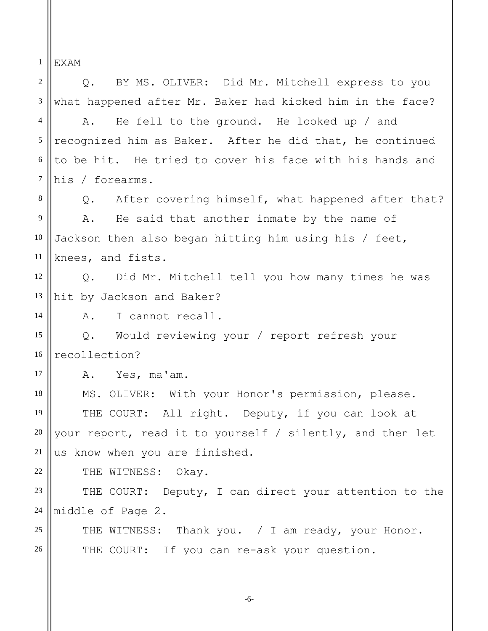1 EXAM

2 3 4 5 6 7 8 9 10 11 12 13 14 15 16 17 18 19 20 21 22 23 24 25 26 Q. BY MS. OLIVER: Did Mr. Mitchell express to you what happened after Mr. Baker had kicked him in the face? A. He fell to the ground. He looked up / and recognized him as Baker. After he did that, he continued to be hit. He tried to cover his face with his hands and his / forearms. Q. After covering himself, what happened after that? A. He said that another inmate by the name of Jackson then also began hitting him using his / feet, knees, and fists. Q. Did Mr. Mitchell tell you how many times he was hit by Jackson and Baker? A. I cannot recall. Q. Would reviewing your / report refresh your recollection? A. Yes, ma'am. MS. OLIVER: With your Honor's permission, please. THE COURT: All right. Deputy, if you can look at your report, read it to yourself / silently, and then let us know when you are finished. THE WITNESS: Okay. THE COURT: Deputy, I can direct your attention to the middle of Page 2. THE WITNESS: Thank you. / I am ready, your Honor. THE COURT: If you can re-ask your question.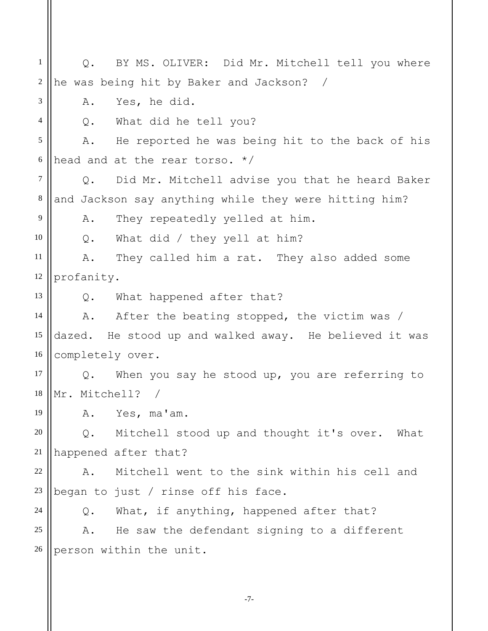1 2 3 4 5 6 7 8 9 10 11 12 13 14 15 16 17 18 19 20 21 22 23 24 25 26 Q. BY MS. OLIVER: Did Mr. Mitchell tell you where he was being hit by Baker and Jackson? / A. Yes, he did. Q. What did he tell you? A. He reported he was being hit to the back of his head and at the rear torso. \*/ Q. Did Mr. Mitchell advise you that he heard Baker and Jackson say anything while they were hitting him? A. They repeatedly yelled at him. Q. What did / they yell at him? A. They called him a rat. They also added some profanity. Q. What happened after that? A. After the beating stopped, the victim was / dazed. He stood up and walked away. He believed it was completely over. Q. When you say he stood up, you are referring to Mr. Mitchell? / A. Yes, ma'am. Q. Mitchell stood up and thought it's over. What happened after that? A. Mitchell went to the sink within his cell and began to just / rinse off his face. Q. What, if anything, happened after that? A. He saw the defendant signing to a different person within the unit.

-7-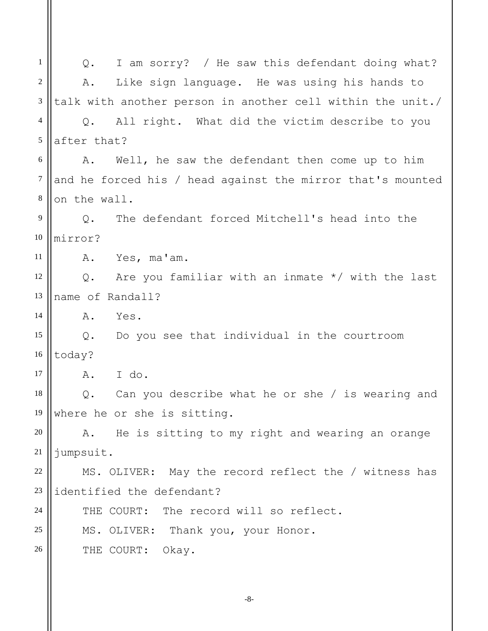1 2 3 4 5 6 7 8 9 10 11 12 13 14 15 16 17 18 19 20 21 22 23 24 25 26 Q. I am sorry? / He saw this defendant doing what? A. Like sign language. He was using his hands to talk with another person in another cell within the unit./ Q. All right. What did the victim describe to you after that? A. Well, he saw the defendant then come up to him and he forced his / head against the mirror that's mounted on the wall. Q. The defendant forced Mitchell's head into the mirror? A. Yes, ma'am. Q. Are you familiar with an inmate \*/ with the last name of Randall? A. Yes. Q. Do you see that individual in the courtroom today? A. I do. Q. Can you describe what he or she / is wearing and where he or she is sitting. A. He is sitting to my right and wearing an orange jumpsuit. MS. OLIVER: May the record reflect the / witness has identified the defendant? THE COURT: The record will so reflect. MS. OLIVER: Thank you, your Honor. THE COURT: Okay.

-8-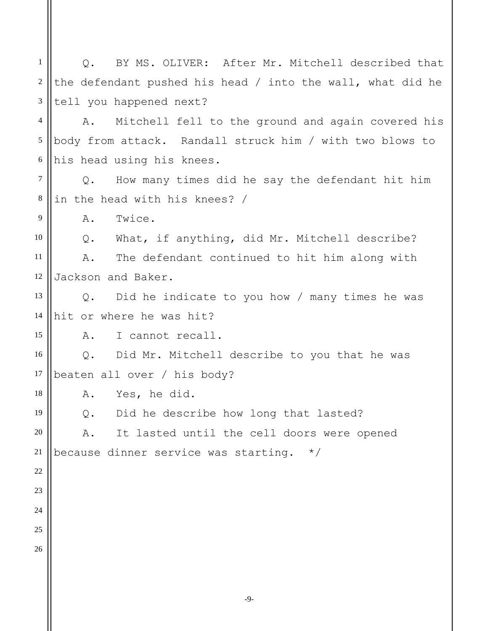1 2 3 4 5 6 7 8 9 10 11 12 13 14 15 16 17 18 19 20 21 22 23 24 25 26 Q. BY MS. OLIVER: After Mr. Mitchell described that the defendant pushed his head / into the wall, what did he tell you happened next? A. Mitchell fell to the ground and again covered his body from attack. Randall struck him / with two blows to his head using his knees. Q. How many times did he say the defendant hit him in the head with his knees? / A. Twice. Q. What, if anything, did Mr. Mitchell describe? A. The defendant continued to hit him along with Jackson and Baker. Q. Did he indicate to you how / many times he was hit or where he was hit? A. I cannot recall. Q. Did Mr. Mitchell describe to you that he was beaten all over / his body? A. Yes, he did. Q. Did he describe how long that lasted? A. It lasted until the cell doors were opened because dinner service was starting. \*/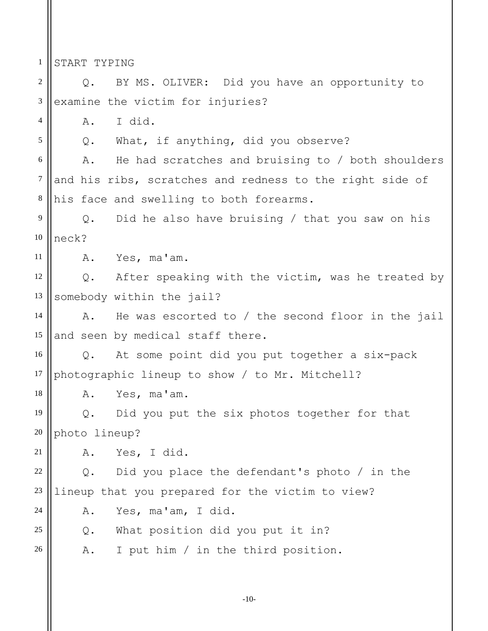1 START TYPING

4

5

18

24

2 3 Q. BY MS. OLIVER: Did you have an opportunity to examine the victim for injuries?

A. I did.

Q. What, if anything, did you observe?

6 7 8 A. He had scratches and bruising to / both shoulders and his ribs, scratches and redness to the right side of his face and swelling to both forearms.

9 10 Q. Did he also have bruising / that you saw on his neck?

11 A. Yes, ma'am.

12 13 Q. After speaking with the victim, was he treated by somebody within the jail?

14 15 A. He was escorted to / the second floor in the jail and seen by medical staff there.

16 17 Q. At some point did you put together a six-pack photographic lineup to show / to Mr. Mitchell?

A. Yes, ma'am.

19 20 Q. Did you put the six photos together for that photo lineup?

21 A. Yes, I did.

22 23 Q. Did you place the defendant's photo / in the lineup that you prepared for the victim to view?

A. Yes, ma'am, I did.

25 Q. What position did you put it in?

26 A. I put him / in the third position.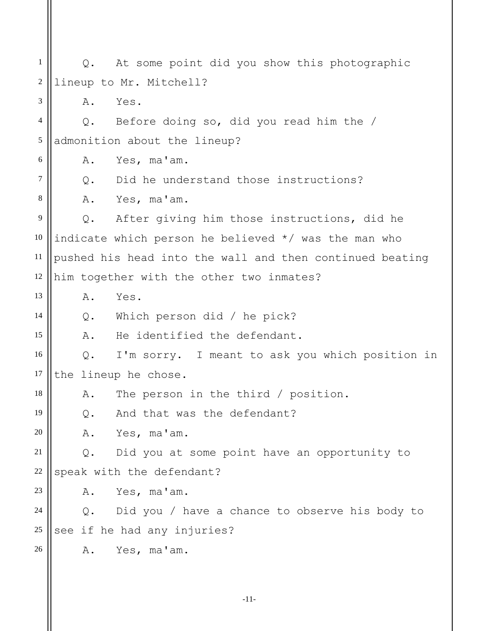1 2 3 4 5 6 7 8 9 10 11 12 13 14 15 16 17 18 19 20 21 22 23 24 25 26 Q. At some point did you show this photographic lineup to Mr. Mitchell? A. Yes. Q. Before doing so, did you read him the / admonition about the lineup? A. Yes, ma'am. Q. Did he understand those instructions? A. Yes, ma'am. Q. After giving him those instructions, did he indicate which person he believed \*/ was the man who pushed his head into the wall and then continued beating him together with the other two inmates? A. Yes. Q. Which person did / he pick? A. He identified the defendant. Q. I'm sorry. I meant to ask you which position in the lineup he chose. A. The person in the third / position. Q. And that was the defendant? A. Yes, ma'am. Q. Did you at some point have an opportunity to speak with the defendant? A. Yes, ma'am. Q. Did you / have a chance to observe his body to see if he had any injuries? A. Yes, ma'am.

-11-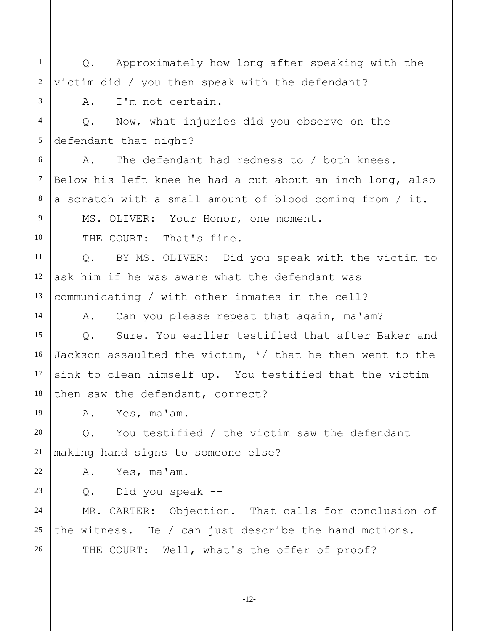1 2 3 4 5 6 7 8 9 10 11 12 13 Q. Approximately how long after speaking with the victim did / you then speak with the defendant? A. I'm not certain. Q. Now, what injuries did you observe on the defendant that night? A. The defendant had redness to / both knees. Below his left knee he had a cut about an inch long, also a scratch with a small amount of blood coming from / it. MS. OLIVER: Your Honor, one moment. THE COURT: That's fine. Q. BY MS. OLIVER: Did you speak with the victim to ask him if he was aware what the defendant was communicating / with other inmates in the cell?

A. Can you please repeat that again, ma'am?

15 16 17 18 Q. Sure. You earlier testified that after Baker and Jackson assaulted the victim, \*/ that he then went to the sink to clean himself up. You testified that the victim then saw the defendant, correct?

A. Yes, ma'am.

14

19

23

20 21 Q. You testified / the victim saw the defendant making hand signs to someone else?

22 A. Yes, ma'am.

Q. Did you speak --

24 25 26 MR. CARTER: Objection. That calls for conclusion of the witness. He / can just describe the hand motions. THE COURT: Well, what's the offer of proof?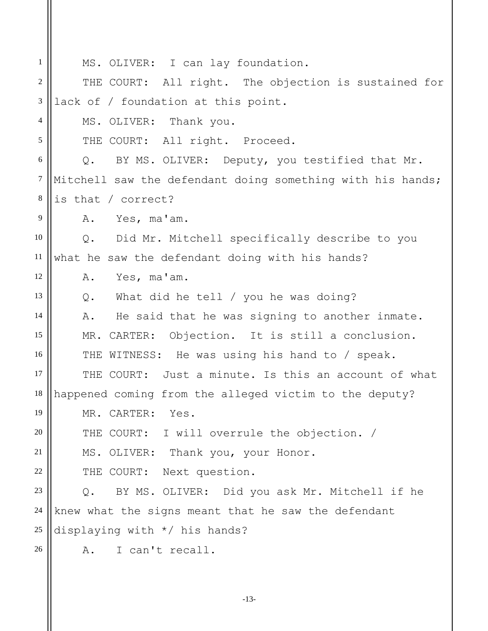| $\mathbf{1}$     | MS. OLIVER: I can lay foundation.                          |
|------------------|------------------------------------------------------------|
| $\boldsymbol{2}$ | THE COURT: All right. The objection is sustained for       |
| $\mathfrak{Z}$   | lack of / foundation at this point.                        |
| 4                | MS. OLIVER: Thank you.                                     |
| 5                | THE COURT: All right. Proceed.                             |
| 6                | Q. BY MS. OLIVER: Deputy, you testified that Mr.           |
| $\tau$           | Mitchell saw the defendant doing something with his hands; |
| $\,8\,$          | is that / correct?                                         |
| 9                | Yes, ma'am.<br>Α.                                          |
| 10               | Q. Did Mr. Mitchell specifically describe to you           |
| 11               | what he saw the defendant doing with his hands?            |
| 12               | Yes, ma'am.<br>Α.                                          |
| 13               | Q. What did he tell / you he was doing?                    |
| 14               | He said that he was signing to another inmate.<br>Α.       |
| 15               | MR. CARTER: Objection. It is still a conclusion.           |
| 16               | THE WITNESS: He was using his hand to / speak.             |
| 17               | THE COURT: Just a minute. Is this an account of what       |
| 18               | happened coming from the alleged victim to the deputy?     |
| 19               | MR. CARTER: Yes.                                           |
| 20               | THE COURT: I will overrule the objection. /                |
| 21               | MS. OLIVER: Thank you, your Honor.                         |
| 22               | THE COURT: Next question.                                  |
| 23               | Q. BY MS. OLIVER: Did you ask Mr. Mitchell if he           |
| 24               | knew what the signs meant that he saw the defendant        |
| 25               | displaying with */ his hands?                              |
| 26               | I can't recall.<br>Α.                                      |
|                  |                                                            |

-13-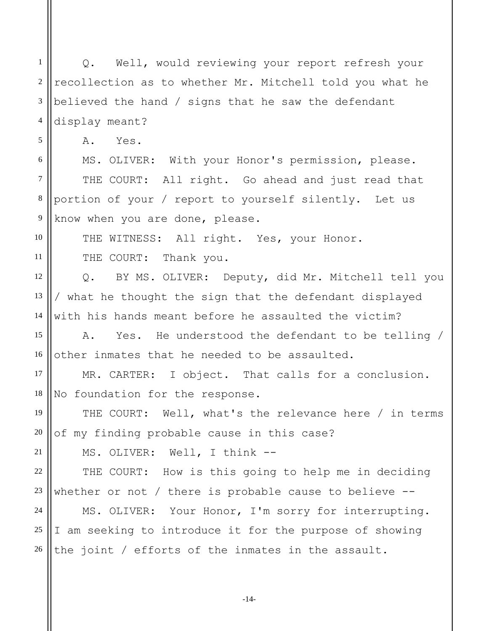1 2 3 4 5 6 7 8 Q. Well, would reviewing your report refresh your recollection as to whether Mr. Mitchell told you what he believed the hand / signs that he saw the defendant display meant? A. Yes. MS. OLIVER: With your Honor's permission, please. THE COURT: All right. Go ahead and just read that portion of your / report to yourself silently. Let us

9 know when you are done, please.

THE WITNESS: All right. Yes, your Honor.

THE COURT: Thank you.

10

11

21

12 13 14 Q. BY MS. OLIVER: Deputy, did Mr. Mitchell tell you / what he thought the sign that the defendant displayed with his hands meant before he assaulted the victim?

15 16 A. Yes. He understood the defendant to be telling / other inmates that he needed to be assaulted.

17 18 MR. CARTER: I object. That calls for a conclusion. No foundation for the response.

19 20 THE COURT: Well, what's the relevance here / in terms of my finding probable cause in this case?

MS. OLIVER: Well, I think --

22 23 THE COURT: How is this going to help me in deciding whether or not / there is probable cause to believe --

24 25 26 MS. OLIVER: Your Honor, I'm sorry for interrupting. I am seeking to introduce it for the purpose of showing the joint / efforts of the inmates in the assault.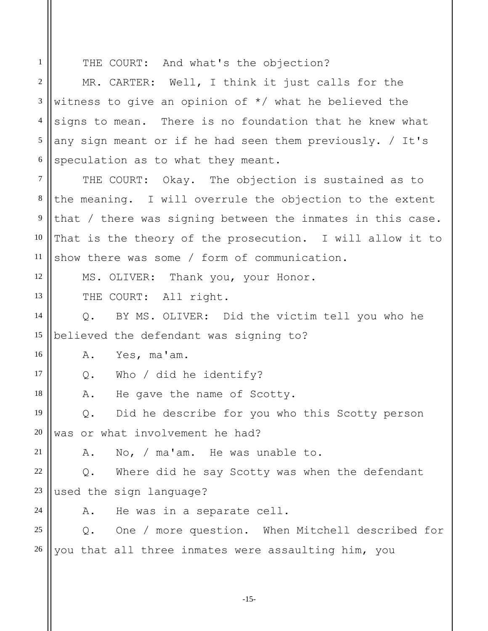THE COURT: And what's the objection?

1

18

21

24

2 3 4 5 6 7 8 9 10 11 12 13 14 15 16 MR. CARTER: Well, I think it just calls for the witness to give an opinion of \*/ what he believed the signs to mean. There is no foundation that he knew what any sign meant or if he had seen them previously. / It's speculation as to what they meant. THE COURT: Okay. The objection is sustained as to the meaning. I will overrule the objection to the extent that / there was signing between the inmates in this case. That is the theory of the prosecution. I will allow it to show there was some / form of communication. MS. OLIVER: Thank you, your Honor. THE COURT: All right. Q. BY MS. OLIVER: Did the victim tell you who he believed the defendant was signing to? A. Yes, ma'am.

17 Q. Who / did he identify?

A. He gave the name of Scotty.

19 20 Q. Did he describe for you who this Scotty person was or what involvement he had?

A. No, / ma'am. He was unable to.

22 23 Q. Where did he say Scotty was when the defendant used the sign language?

A. He was in a separate cell.

25 26 Q. One / more question. When Mitchell described for you that all three inmates were assaulting him, you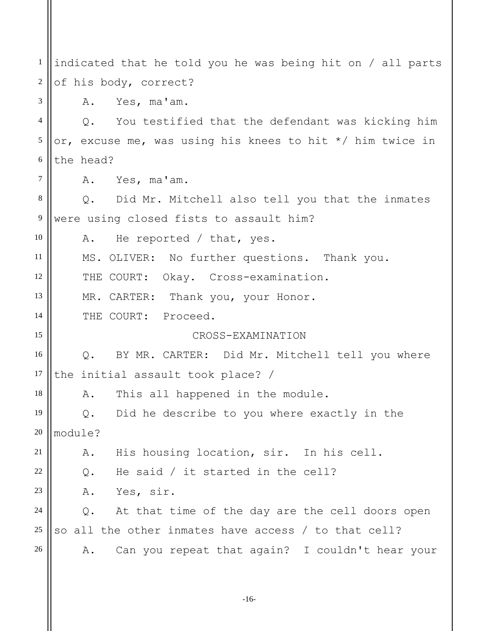1 2 3 4 5 6 7 8 9 10 11 12 13 14 15 16 17 18 19 20 21 22 23 24 25 26 indicated that he told you he was being hit on / all parts of his body, correct? A. Yes, ma'am. Q. You testified that the defendant was kicking him or, excuse me, was using his knees to hit \*/ him twice in the head? A. Yes, ma'am. Q. Did Mr. Mitchell also tell you that the inmates were using closed fists to assault him? A. He reported / that, yes. MS. OLIVER: No further questions. Thank you. THE COURT: Okay. Cross-examination. MR. CARTER: Thank you, your Honor. THE COURT: Proceed. CROSS-EXAMINATION Q. BY MR. CARTER: Did Mr. Mitchell tell you where the initial assault took place? / A. This all happened in the module. Q. Did he describe to you where exactly in the module? A. His housing location, sir. In his cell. Q. He said / it started in the cell? A. Yes, sir. Q. At that time of the day are the cell doors open so all the other inmates have access / to that cell? A. Can you repeat that again? I couldn't hear your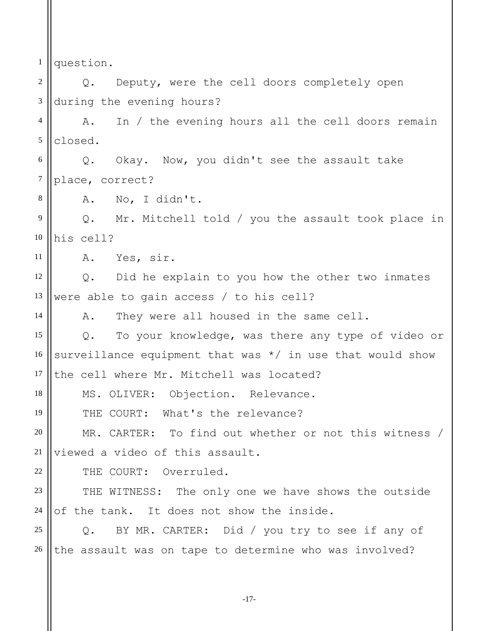1 question.

2 3 Q. Deputy, were the cell doors completely open during the evening hours?

4 5 A. In / the evening hours all the cell doors remain closed.

6 7 Q. Okay. Now, you didn't see the assault take place, correct?

A. No, I didn't.

9 10 Q. Mr. Mitchell told / you the assault took place in his cell?

11 A. Yes, sir.

8

14

18

19

22

12 13 Q. Did he explain to you how the other two inmates were able to gain access / to his cell?

A. They were all housed in the same cell.

15 16 17 Q. To your knowledge, was there any type of video or surveillance equipment that was  $*/$  in use that would show the cell where Mr. Mitchell was located?

MS. OLIVER: Objection. Relevance.

THE COURT: What's the relevance?

20 21 MR. CARTER: To find out whether or not this witness / viewed a video of this assault.

THE COURT: Overruled.

23 24 THE WITNESS: The only one we have shows the outside of the tank. It does not show the inside.

25 26 Q. BY MR. CARTER: Did / you try to see if any of the assault was on tape to determine who was involved?

-17-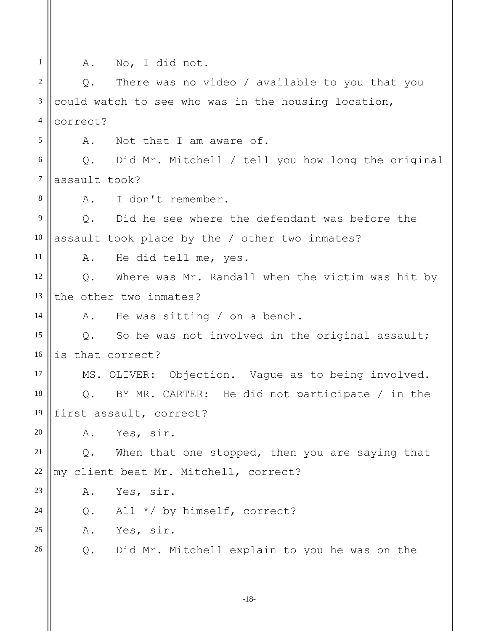| $\mathbf{1}$   | No, I did not.<br>Α.                                           |
|----------------|----------------------------------------------------------------|
| 2              | There was no video / available to you that you<br>$Q$ .        |
| 3              | could watch to see who was in the housing location,            |
| $\overline{4}$ | correct?                                                       |
| 5              | Not that I am aware of.<br>Α.                                  |
| 6              | Q. Did Mr. Mitchell / tell you how long the original           |
| $\overline{7}$ | assault took?                                                  |
| 8              | I don't remember.<br>Α.                                        |
| 9              | Did he see where the defendant was before the<br>$Q$ .         |
| 10             | assault took place by the / other two inmates?                 |
| 11             | He did tell me, yes.<br>Α.                                     |
| 12             | Where was Mr. Randall when the victim was hit by<br>$Q$ .      |
| 13             | the other two inmates?                                         |
| 14             | He was sitting $/$ on a bench.<br>Α.                           |
| 15             | So he was not involved in the original assault;<br>Q.          |
| 16             | is that correct?                                               |
| 17             | MS. OLIVER: Objection. Vague as to being involved.             |
| 18             | BY MR. CARTER: He did not participate / in the<br>Q.           |
| 19             | first assault, correct?                                        |
| 20             | Yes, sir.<br>Α.                                                |
| 21             | $Q$ .<br>When that one stopped, then you are saying that       |
| 22             | my client beat Mr. Mitchell, correct?                          |
| 23             | Yes, sir.<br>Α.                                                |
| 24             | All */ by himself, correct?<br>$Q$ .                           |
| 25             | Α.<br>Yes, sir.                                                |
| 26             | $\mathsf Q$ .<br>Did Mr. Mitchell explain to you he was on the |
|                |                                                                |

-18-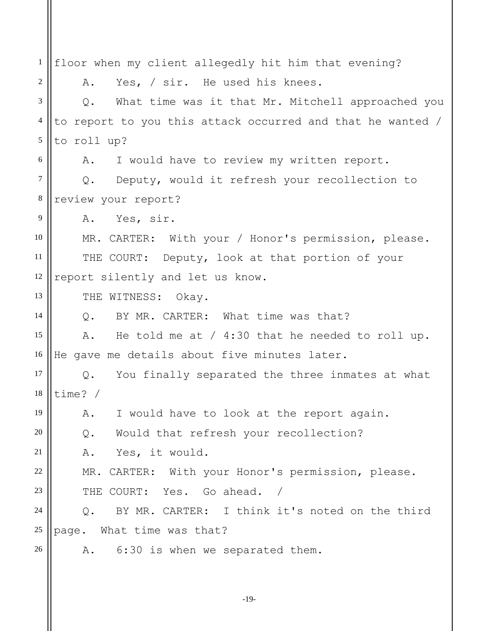1 2 3 4 5 6 7 8 9 10 11 12 13 14 15 16 17 18 19 20 21 22 23 24 25 26 floor when my client allegedly hit him that evening? A. Yes, / sir. He used his knees. Q. What time was it that Mr. Mitchell approached you to report to you this attack occurred and that he wanted / to roll up? A. I would have to review my written report. Q. Deputy, would it refresh your recollection to review your report? A. Yes, sir. MR. CARTER: With your / Honor's permission, please. THE COURT: Deputy, look at that portion of your report silently and let us know. THE WITNESS: Okay. Q. BY MR. CARTER: What time was that? A. He told me at / 4:30 that he needed to roll up. He gave me details about five minutes later. Q. You finally separated the three inmates at what time? / A. I would have to look at the report again. Q. Would that refresh your recollection? A. Yes, it would. MR. CARTER: With your Honor's permission, please. THE COURT: Yes. Go ahead. / Q. BY MR. CARTER: I think it's noted on the third page. What time was that? A. 6:30 is when we separated them.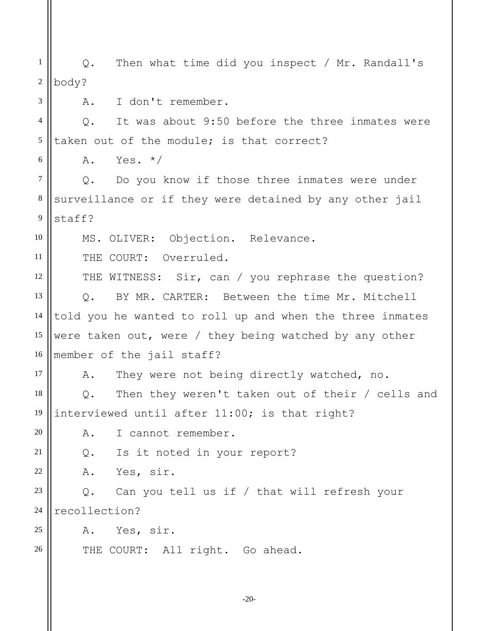1 2 3 4 5 6 7 8 9 10 11 12 13 14 15 16 17 18 19 20 21 22 23 24 25 26 Q. Then what time did you inspect / Mr. Randall's body? A. I don't remember. Q. It was about 9:50 before the three inmates were taken out of the module; is that correct?  $A.$  Yes.  $*/$ Q. Do you know if those three inmates were under surveillance or if they were detained by any other jail staff? MS. OLIVER: Objection. Relevance. THE COURT: Overruled. THE WITNESS: Sir, can / you rephrase the question? Q. BY MR. CARTER: Between the time Mr. Mitchell told you he wanted to roll up and when the three inmates were taken out, were / they being watched by any other member of the jail staff? A. They were not being directly watched, no. Q. Then they weren't taken out of their / cells and interviewed until after 11:00; is that right? A. I cannot remember. Q. Is it noted in your report? A. Yes, sir. Q. Can you tell us if / that will refresh your recollection? A. Yes, sir. THE COURT: All right. Go ahead.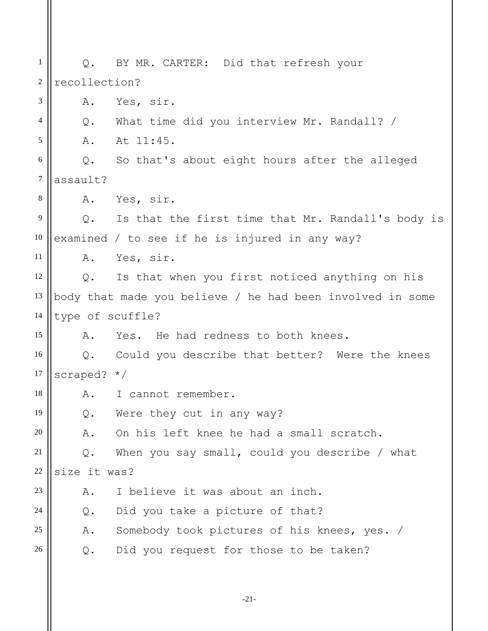1 2 3 4 5 6 7 8 9 10 11 12 13 14 15 16 17 18 19 20 21 22 23 24 25 26 Q. BY MR. CARTER: Did that refresh your recollection? A. Yes, sir. Q. What time did you interview Mr. Randall? / A. At 11:45. Q. So that's about eight hours after the alleged assault? A. Yes, sir. Q. Is that the first time that Mr. Randall's body is examined / to see if he is injured in any way? A. Yes, sir. Q. Is that when you first noticed anything on his body that made you believe / he had been involved in some type of scuffle? A. Yes. He had redness to both knees. Q. Could you describe that better? Were the knees scraped? \*/ A. I cannot remember. Q. Were they cut in any way? A. On his left knee he had a small scratch. Q. When you say small, could you describe / what size it was? A. I believe it was about an inch. Q. Did you take a picture of that? A. Somebody took pictures of his knees, yes. / Q. Did you request for those to be taken?

-21-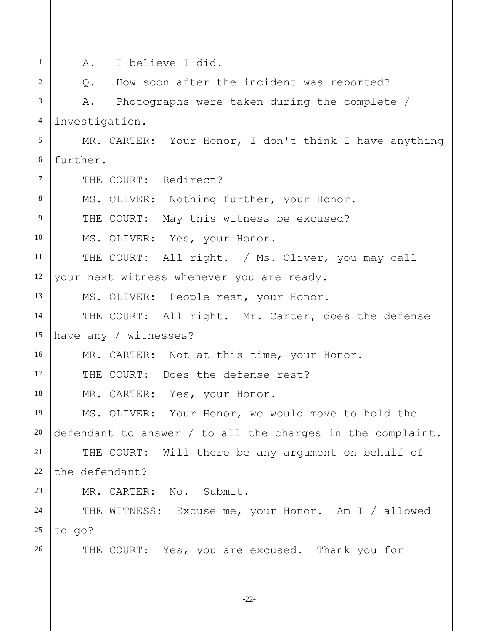-22- 1 2 3 4 5 6 7 8 9 10 11 12 13 14 15 16 17 18 19 20 21 22 23 24 25 26 A. I believe I did. Q. How soon after the incident was reported? A. Photographs were taken during the complete / investigation. MR. CARTER: Your Honor, I don't think I have anything further. THE COURT: Redirect? MS. OLIVER: Nothing further, your Honor. THE COURT: May this witness be excused? MS. OLIVER: Yes, your Honor. THE COURT: All right. / Ms. Oliver, you may call your next witness whenever you are ready. MS. OLIVER: People rest, your Honor. THE COURT: All right. Mr. Carter, does the defense have any / witnesses? MR. CARTER: Not at this time, your Honor. THE COURT: Does the defense rest? MR. CARTER: Yes, your Honor. MS. OLIVER: Your Honor, we would move to hold the defendant to answer / to all the charges in the complaint. THE COURT: Will there be any argument on behalf of the defendant? MR. CARTER: No. Submit. THE WITNESS: Excuse me, your Honor. Am I / allowed to go? THE COURT: Yes, you are excused. Thank you for